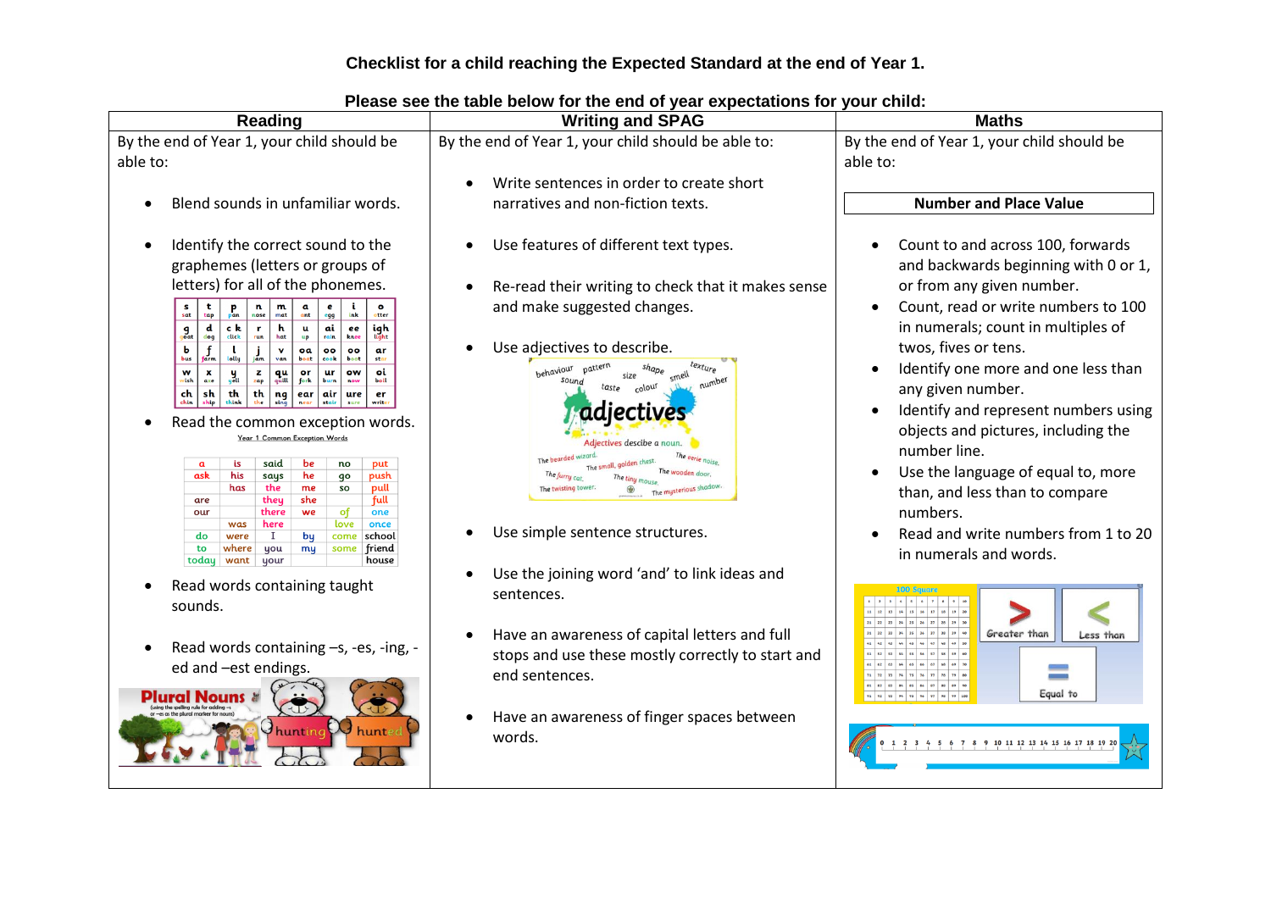# **Checklist for a child reaching the Expected Standard at the end of Year 1.**

| By the end of Year 1, your child should be<br>By the end of Year 1, your child should be<br>By the end of Year 1, your child should be able to:<br>able to:<br>able to:<br>Write sentences in order to create short<br><b>Number and Place Value</b><br>Blend sounds in unfamiliar words.<br>narratives and non-fiction texts.<br>Identify the correct sound to the<br>Use features of different text types.<br>Count to and across 100, forwards<br>$\bullet$<br>graphemes (letters or groups of<br>letters) for all of the phonemes.<br>or from any given number.<br>Re-read their writing to check that it makes sense<br>and make suggested changes.<br>n<br>m<br>S <sub>sat</sub><br>$P_{\text{pan}}$<br>$_{\text{mat}}$<br>tap<br>nose<br>ink<br>otter<br>egg<br>in numerals; count in multiples of<br>igh<br>d<br>ck<br>h.<br>ai<br>$\mathbf{r}$<br>u<br>ee<br>$\int_{\text{out}}^{\text{g}}$<br>hat<br>dog<br>click<br>rain<br>knee<br>Use adjectives to describe.<br>twos, fives or tens.<br>$f_{\text{arm}}$<br>ь<br>$\mathbf v$<br>oa<br>$\circ$<br>ar<br>oo<br>lolly<br>van<br>bus<br>boat<br>cook<br>boot<br>sta<br>texture<br>Identify one more and one less than<br>behaviour<br>oi<br>w<br>$\mathbf{x}$<br>$\mathbf{z}$<br>qu<br>quill<br><b>ur</b><br>ow<br>or<br>y<br>yeu<br>wish<br>axe<br>zap<br>fork<br>boil<br>now<br>number<br>any given number.<br>colour<br>sh<br>th<br>ch<br>th<br>$ng$ <sub>sing</sub><br>air<br>ure<br>er<br>ear<br>write<br>Read the common exception words.<br>objects and pictures, including the<br>Year 1 Common Exception Words<br>Adjectives descibe a noun<br>number line.<br>said<br>is<br>be<br>put<br>$\mathfrak a$<br>no<br>Use the language of equal to, more<br>The wooden doo<br>ask<br>his<br>push<br>says<br>he<br>go<br>the<br>has<br>pull<br>me<br>so<br>he mysterious shadov<br>than, and less than to compare<br>full<br>they<br>she<br>are<br>numbers.<br>there<br>of<br>one<br>our<br>we<br>here<br>love<br>once<br>was<br>Use simple sentence structures.<br>$\mathbf{I}$<br>school<br>do<br>were<br>bų<br>come<br>you<br>some<br>friend<br>to<br>where<br>my<br>in numerals and words.<br>today<br>your<br>house<br>want<br>Use the joining word 'and' to link ideas and<br>Read words containing taught<br>sentences.<br>sounds. | and backwards beginning with 0 or 1,<br>Count, read or write numbers to 100<br>Identify and represent numbers using<br>Read and write numbers from 1 to 20<br>Have an awareness of capital letters and full<br>Greater than<br>Less than<br>Read words containing -s, -es, -ing, -<br>$\bullet$<br>stops and use these mostly correctly to start and<br>ed and -est endings.<br>end sentences.<br>Equal to<br>Have an awareness of finger spaces between | Reading | <b>There's you the table below for the ond or your expectations for</b><br><b>Writing and SPAG</b> | <b>Maths</b> |
|--------------------------------------------------------------------------------------------------------------------------------------------------------------------------------------------------------------------------------------------------------------------------------------------------------------------------------------------------------------------------------------------------------------------------------------------------------------------------------------------------------------------------------------------------------------------------------------------------------------------------------------------------------------------------------------------------------------------------------------------------------------------------------------------------------------------------------------------------------------------------------------------------------------------------------------------------------------------------------------------------------------------------------------------------------------------------------------------------------------------------------------------------------------------------------------------------------------------------------------------------------------------------------------------------------------------------------------------------------------------------------------------------------------------------------------------------------------------------------------------------------------------------------------------------------------------------------------------------------------------------------------------------------------------------------------------------------------------------------------------------------------------------------------------------------------------------------------------------------------------------------------------------------------------------------------------------------------------------------------------------------------------------------------------------------------------------------------------------------------------------------------------------------------------------------------------------------------------------------------------------------------------------------------------------------|----------------------------------------------------------------------------------------------------------------------------------------------------------------------------------------------------------------------------------------------------------------------------------------------------------------------------------------------------------------------------------------------------------------------------------------------------------|---------|----------------------------------------------------------------------------------------------------|--------------|
|                                                                                                                                                                                                                                                                                                                                                                                                                                                                                                                                                                                                                                                                                                                                                                                                                                                                                                                                                                                                                                                                                                                                                                                                                                                                                                                                                                                                                                                                                                                                                                                                                                                                                                                                                                                                                                                                                                                                                                                                                                                                                                                                                                                                                                                                                                        |                                                                                                                                                                                                                                                                                                                                                                                                                                                          |         |                                                                                                    |              |
|                                                                                                                                                                                                                                                                                                                                                                                                                                                                                                                                                                                                                                                                                                                                                                                                                                                                                                                                                                                                                                                                                                                                                                                                                                                                                                                                                                                                                                                                                                                                                                                                                                                                                                                                                                                                                                                                                                                                                                                                                                                                                                                                                                                                                                                                                                        |                                                                                                                                                                                                                                                                                                                                                                                                                                                          |         |                                                                                                    |              |
|                                                                                                                                                                                                                                                                                                                                                                                                                                                                                                                                                                                                                                                                                                                                                                                                                                                                                                                                                                                                                                                                                                                                                                                                                                                                                                                                                                                                                                                                                                                                                                                                                                                                                                                                                                                                                                                                                                                                                                                                                                                                                                                                                                                                                                                                                                        |                                                                                                                                                                                                                                                                                                                                                                                                                                                          |         |                                                                                                    |              |
|                                                                                                                                                                                                                                                                                                                                                                                                                                                                                                                                                                                                                                                                                                                                                                                                                                                                                                                                                                                                                                                                                                                                                                                                                                                                                                                                                                                                                                                                                                                                                                                                                                                                                                                                                                                                                                                                                                                                                                                                                                                                                                                                                                                                                                                                                                        |                                                                                                                                                                                                                                                                                                                                                                                                                                                          |         |                                                                                                    |              |
| hunted<br>hunting<br>words.<br>2 3 4 5 6 7 8 9 10 11 12 13 14 15 16 17 18 19 20                                                                                                                                                                                                                                                                                                                                                                                                                                                                                                                                                                                                                                                                                                                                                                                                                                                                                                                                                                                                                                                                                                                                                                                                                                                                                                                                                                                                                                                                                                                                                                                                                                                                                                                                                                                                                                                                                                                                                                                                                                                                                                                                                                                                                        |                                                                                                                                                                                                                                                                                                                                                                                                                                                          |         |                                                                                                    |              |

### **Please see the table below for the end of year expectations for your child:**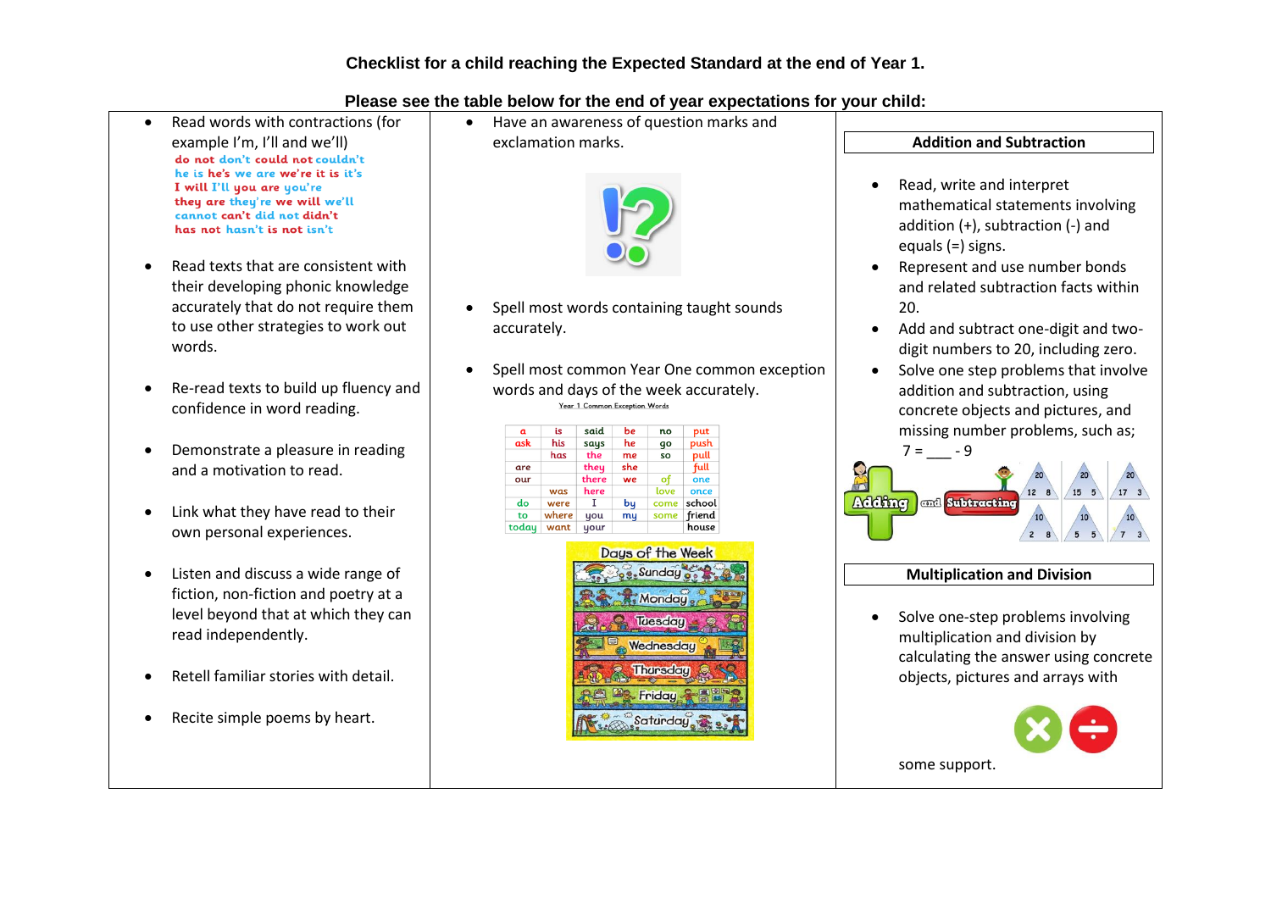- Read words with contractions (for example I'm, I'll and we'll)<br>do not don't could not couldn't he is he's we are we're it is it's I will I'll you are you're they are they're we will we'll cannot can't did not didn't has not hasn't is not isn't
- Read texts that are consistent with their developing phonic knowledge accurately that do not require them to use other strategies to work out words.
- Re-read texts to build up fluency and confidence in word reading.
- Demonstrate a pleasure in reading and a motivation to read.
- Link what they have read to their own personal experiences.
- Listen and discuss a wide range of fiction, non-fiction and poetry at a level beyond that at which they can read independently.
- Retell familiar stories with detail.
- Recite simple poems by heart.

 Have an awareness of question marks and exclamation marks.



- Spell most words containing taught sounds accurately.
- Spell most common Year One common exception words and days of the week accurately.<br> $x_{\text{per 1. Common Exception Words}}$

| $\mathbf{a}$ | is    | said  | be  | no   | put    |
|--------------|-------|-------|-----|------|--------|
| ask          | his   | says  | he  | qo   | push   |
|              | has   | the   | me  | SO   | pull   |
| are          |       | they  | she |      | full   |
| our          |       | there | we  | of   | one    |
|              | was   | here  |     | love | once   |
| do           | were  |       | bų  | come | school |
| to           | where | you   | my  | some | friend |
| today        | want  | your  |     |      | house  |



# **Addition and Subtraction**

- Read, write and interpret mathematical statements involving addition (+), subtraction (-) and equals (=) signs.
- Represent and use number bonds and related subtraction facts within 20.
- Add and subtract one-digit and twodigit numbers to 20, including zero.
- Solve one step problems that involve addition and subtraction, using concrete objects and pictures, and missing number problems, such as;



## **Multiplication and Division**

• Solve one-step problems involving multiplication and division by calculating the answer using concrete objects, pictures and arrays with

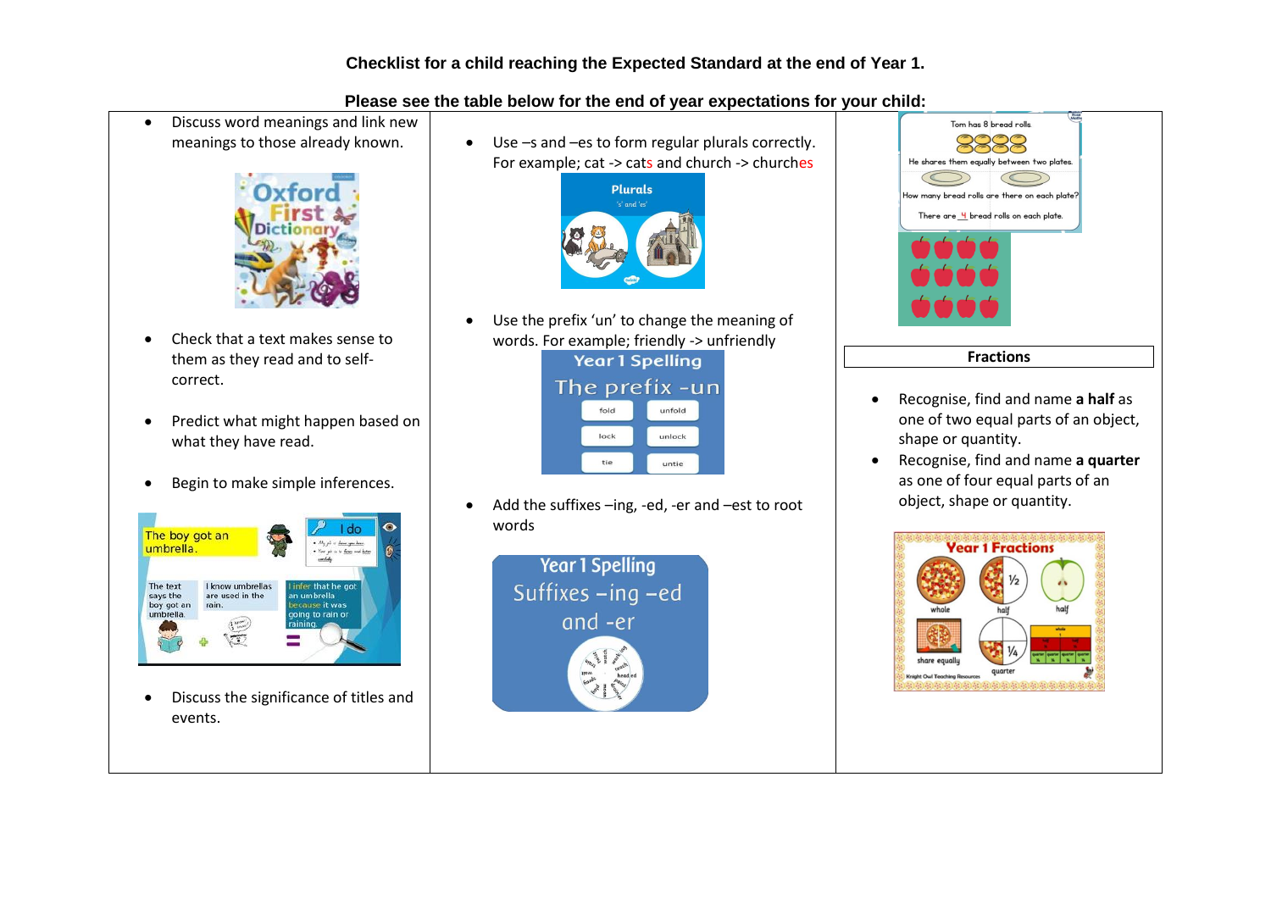## **Checklist for a child reaching the Expected Standard at the end of Year 1.**

#### **Please see the table below for the end of year expectations for your child:**

 Discuss word meanings and link new meanings to those already known.



- Check that a text makes sense to them as they read and to selfcorrect.
- Predict what might happen based on what they have read.
- Begin to make simple inferences.



 Discuss the significance of titles and events.

 Use –s and –es to form regular plurals correctly. For example; cat -> cats and church -> churches



 Use the prefix 'un' to change the meaning of words. For example; friendly -> unfriendly<br>Year 1 Spelling

The prefix -un fold unfold lock unlock

• Add the suffixes –ing, -ed, -er and –est to root words

untie

tie





- Recognise, find and name **a half** as one of two equal parts of an object, shape or quantity.
- Recognise, find and name **a quarter** as one of four equal parts of an object, shape or quantity.

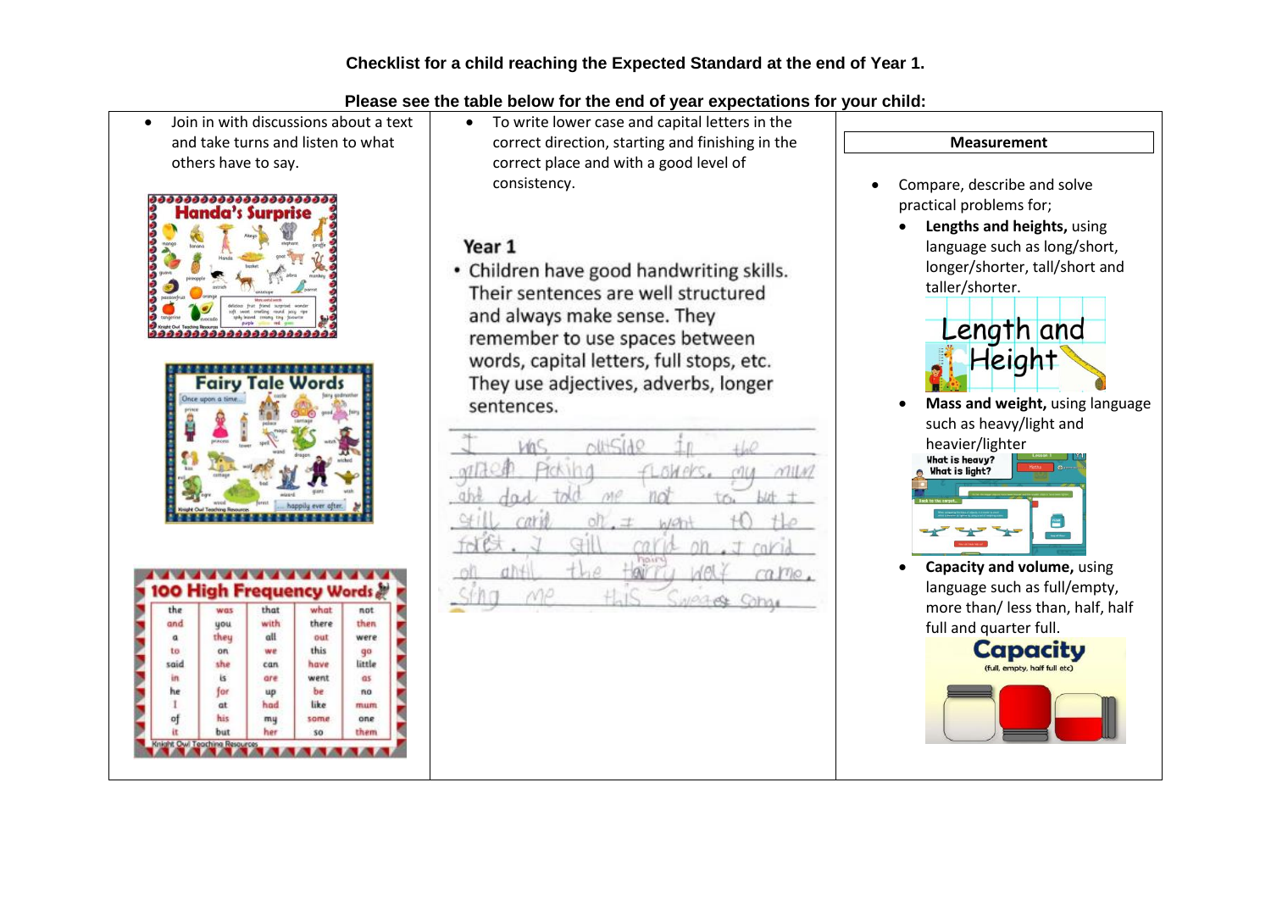Join in with discussions about a text and take turns and listen to what others have to say.





| the  | was        | that | what            | not                      |
|------|------------|------|-----------------|--------------------------|
| and  | <b>UOU</b> | with | there           | them                     |
| a    | theu       | all  | out             | were                     |
| to   | on         | we   | this            | qo                       |
| said | she        | can  | have            | little                   |
| in.  | is.        | are  | went            | a <sub>5</sub>           |
| he   | for        | up   | be.             | no                       |
| 1    | αt         | had  | like            | <b><i><u>mum</u></i></b> |
| ٥f   | his        | mų   | some            | one                      |
| łτ   | but        | her  | SO <sub>1</sub> | them                     |

 To write lower case and capital letters in the correct direction, starting and finishing in the correct place and with a good level of consistency.

# Year 1

• Children have good handwriting skills. Their sentences are well structured and always make sense. They remember to use spaces between words, capital letters, full stops, etc. They use adjectives, adverbs, longer sentences.

|                       |        | $O(t+5)$ d |                          |                    |                  |
|-----------------------|--------|------------|--------------------------|--------------------|------------------|
| $\alpha$ <sub>D</sub> |        |            | Picking <i>flowers</i> . |                    | $\gamma$ llA     |
|                       |        |            |                          |                    |                  |
|                       | Cat is |            |                          |                    |                  |
|                       |        | ď          |                          |                    | trichct          |
|                       |        |            |                          | $\langle \theta  $ | $\epsilon$ care. |
|                       |        |            |                          |                    | <b>Cohos</b>     |



 **Capacity and volume,** using language such as full/empty, more than/ less than, half, half full and quarter full.

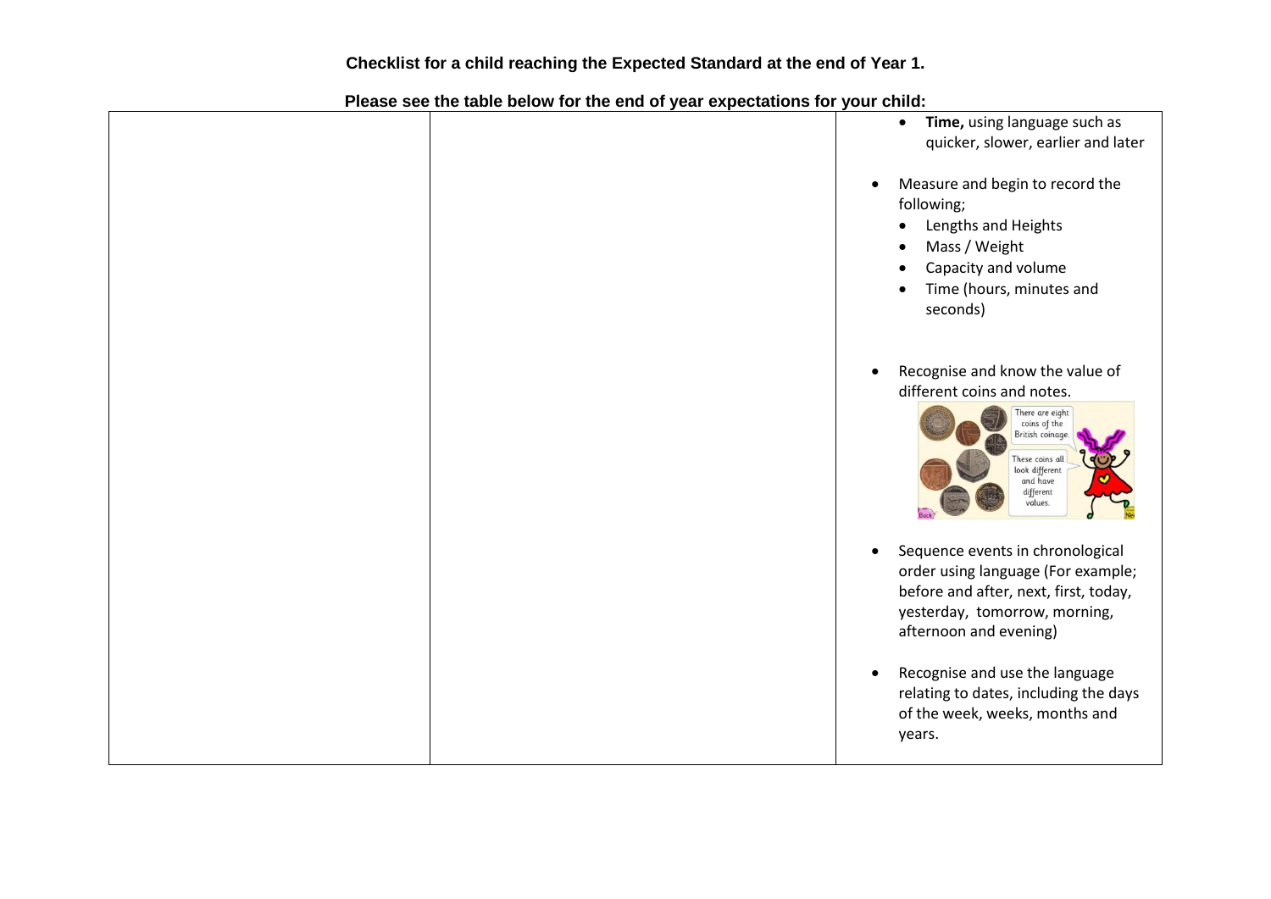|  |           | Time, using language such as<br>$\bullet$<br>quicker, slower, earlier and later                                                                                                               |
|--|-----------|-----------------------------------------------------------------------------------------------------------------------------------------------------------------------------------------------|
|  | $\bullet$ | Measure and begin to record the<br>following;<br>Lengths and Heights<br>Mass / Weight<br>$\bullet$<br>Capacity and volume<br>Time (hours, minutes and<br>seconds)                             |
|  |           | Recognise and know the value of<br>different coins and notes.<br>There are eight<br>coins of the<br>British coinage.<br>These coins all<br>look different<br>and have<br>different<br>values. |
|  | $\bullet$ | Sequence events in chronological<br>order using language (For example;<br>before and after, next, first, today,<br>yesterday, tomorrow, morning,<br>afternoon and evening)                    |
|  | $\bullet$ | Recognise and use the language<br>relating to dates, including the days<br>of the week, weeks, months and<br>years.                                                                           |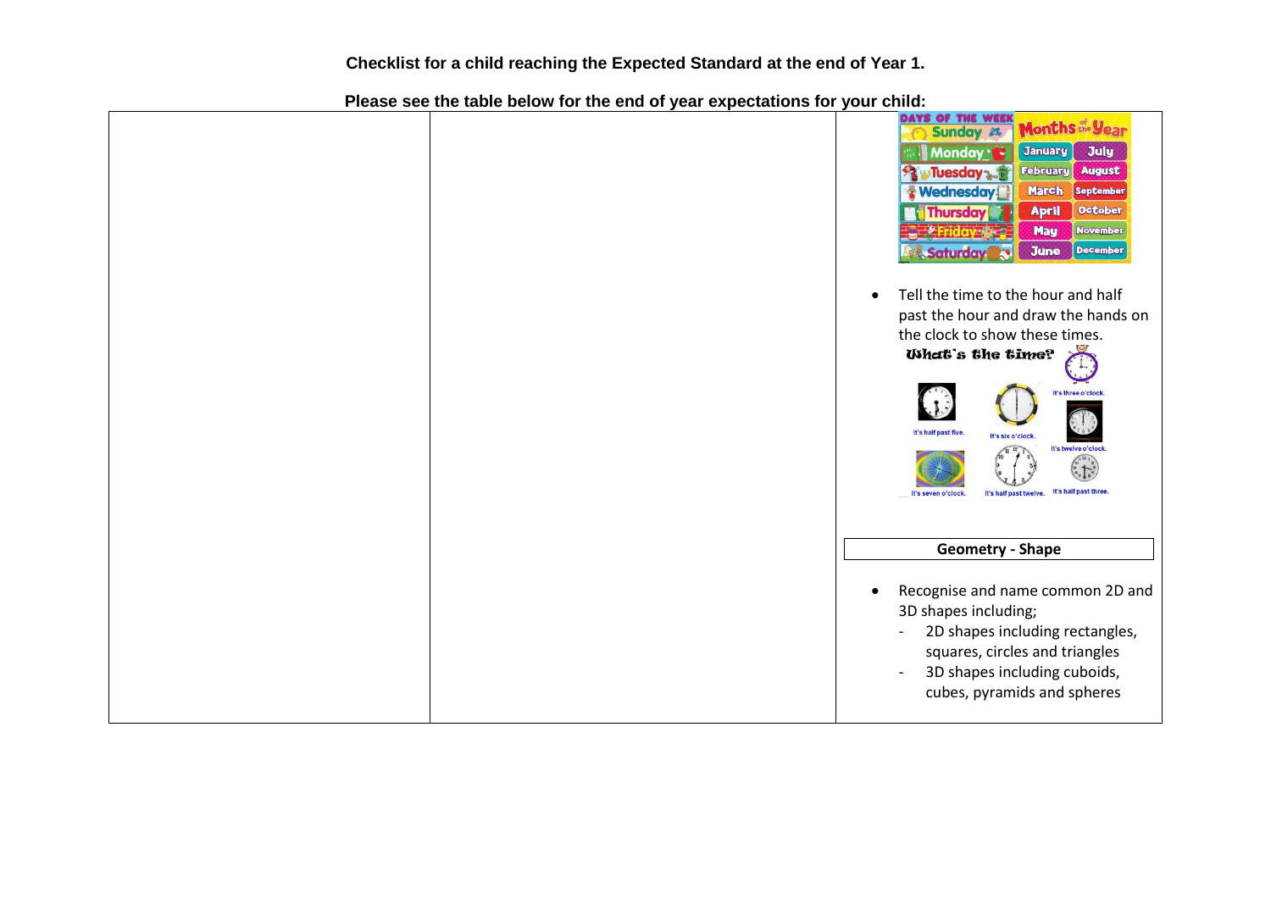|  | DAYS OF THE WEEK<br>Months de Vear<br>Sunday 25<br><b>July</b><br>January<br>Monday * *<br><b>February</b><br><b>August</b><br><b>ST Tuesday start</b><br><b>March</b><br><b>Wednesday</b><br>September<br><b>October</b><br><b>April</b><br><b>Thursday</b><br><b>May</b><br><b>November</b><br><b>June</b><br>Saturday<br><b>December</b><br>Tell the time to the hour and half<br>$\bullet$<br>past the hour and draw the hands on<br>the clock to show these times.<br><b>What's the time?</b><br>It's three o'clock.<br>It's half past five.<br>It's six o'clock.<br>It's twelve o'clock<br>It's half past three.<br>It's half past twelve.<br>It's seven o'clock. |
|--|-------------------------------------------------------------------------------------------------------------------------------------------------------------------------------------------------------------------------------------------------------------------------------------------------------------------------------------------------------------------------------------------------------------------------------------------------------------------------------------------------------------------------------------------------------------------------------------------------------------------------------------------------------------------------|
|  | <b>Geometry - Shape</b>                                                                                                                                                                                                                                                                                                                                                                                                                                                                                                                                                                                                                                                 |
|  | Recognise and name common 2D and<br>$\bullet$<br>3D shapes including;<br>2D shapes including rectangles,<br>$\overline{\phantom{a}}$<br>squares, circles and triangles<br>3D shapes including cuboids,<br>$\overline{\phantom{a}}$<br>cubes, pyramids and spheres                                                                                                                                                                                                                                                                                                                                                                                                       |